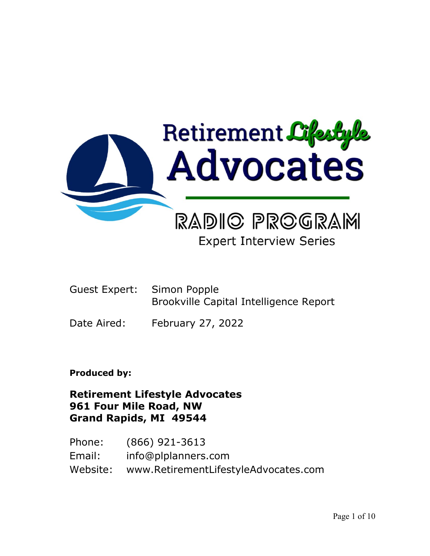

# **Expert Interview Series**

- Guest Expert: Simon Popple Brookville Capital Intelligence Report
- Date Aired: February 27, 2022

# **Produced by:**

# **Retirement Lifestyle Advocates 961 Four Mile Road, NW Grand Rapids, MI 49544**

Phone: (866) 921-3613 Email: info@plplanners.com Website: www.RetirementLifestyleAdvocates.com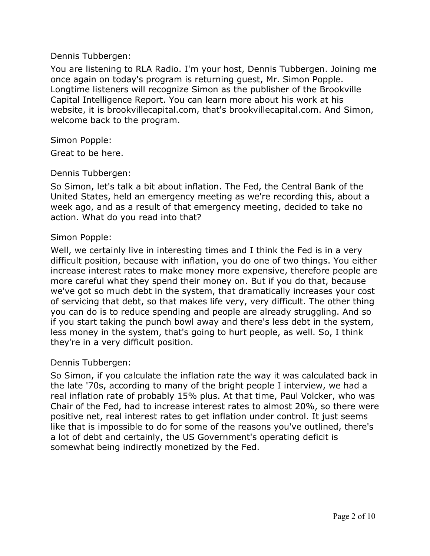#### Dennis Tubbergen:

You are listening to RLA Radio. I'm your host, Dennis Tubbergen. Joining me once again on today's program is returning guest, Mr. Simon Popple. Longtime listeners will recognize Simon as the publisher of the Brookville Capital Intelligence Report. You can learn more about his work at his website, it is brookvillecapital.com, that's brookvillecapital.com. And Simon, welcome back to the program.

#### Simon Popple:

Great to be here.

#### Dennis Tubbergen:

So Simon, let's talk a bit about inflation. The Fed, the Central Bank of the United States, held an emergency meeting as we're recording this, about a week ago, and as a result of that emergency meeting, decided to take no action. What do you read into that?

#### Simon Popple:

Well, we certainly live in interesting times and I think the Fed is in a very difficult position, because with inflation, you do one of two things. You either increase interest rates to make money more expensive, therefore people are more careful what they spend their money on. But if you do that, because we've got so much debt in the system, that dramatically increases your cost of servicing that debt, so that makes life very, very difficult. The other thing you can do is to reduce spending and people are already struggling. And so if you start taking the punch bowl away and there's less debt in the system, less money in the system, that's going to hurt people, as well. So, I think they're in a very difficult position.

### Dennis Tubbergen:

So Simon, if you calculate the inflation rate the way it was calculated back in the late '70s, according to many of the bright people I interview, we had a real inflation rate of probably 15% plus. At that time, Paul Volcker, who was Chair of the Fed, had to increase interest rates to almost 20%, so there were positive net, real interest rates to get inflation under control. It just seems like that is impossible to do for some of the reasons you've outlined, there's a lot of debt and certainly, the US Government's operating deficit is somewhat being indirectly monetized by the Fed.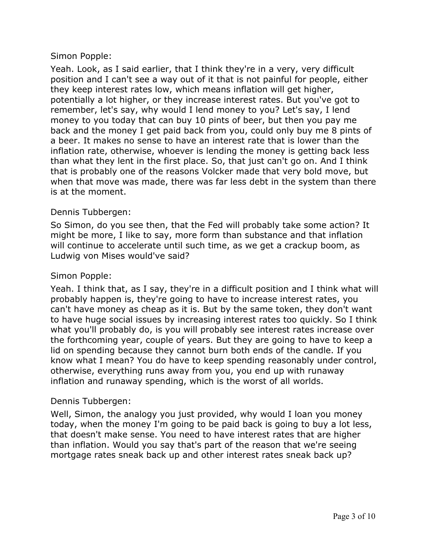Yeah. Look, as I said earlier, that I think they're in a very, very difficult position and I can't see a way out of it that is not painful for people, either they keep interest rates low, which means inflation will get higher, potentially a lot higher, or they increase interest rates. But you've got to remember, let's say, why would I lend money to you? Let's say, I lend money to you today that can buy 10 pints of beer, but then you pay me back and the money I get paid back from you, could only buy me 8 pints of a beer. It makes no sense to have an interest rate that is lower than the inflation rate, otherwise, whoever is lending the money is getting back less than what they lent in the first place. So, that just can't go on. And I think that is probably one of the reasons Volcker made that very bold move, but when that move was made, there was far less debt in the system than there is at the moment.

### Dennis Tubbergen:

So Simon, do you see then, that the Fed will probably take some action? It might be more, I like to say, more form than substance and that inflation will continue to accelerate until such time, as we get a crackup boom, as Ludwig von Mises would've said?

#### Simon Popple:

Yeah. I think that, as I say, they're in a difficult position and I think what will probably happen is, they're going to have to increase interest rates, you can't have money as cheap as it is. But by the same token, they don't want to have huge social issues by increasing interest rates too quickly. So I think what you'll probably do, is you will probably see interest rates increase over the forthcoming year, couple of years. But they are going to have to keep a lid on spending because they cannot burn both ends of the candle. If you know what I mean? You do have to keep spending reasonably under control, otherwise, everything runs away from you, you end up with runaway inflation and runaway spending, which is the worst of all worlds.

#### Dennis Tubbergen:

Well, Simon, the analogy you just provided, why would I loan you money today, when the money I'm going to be paid back is going to buy a lot less, that doesn't make sense. You need to have interest rates that are higher than inflation. Would you say that's part of the reason that we're seeing mortgage rates sneak back up and other interest rates sneak back up?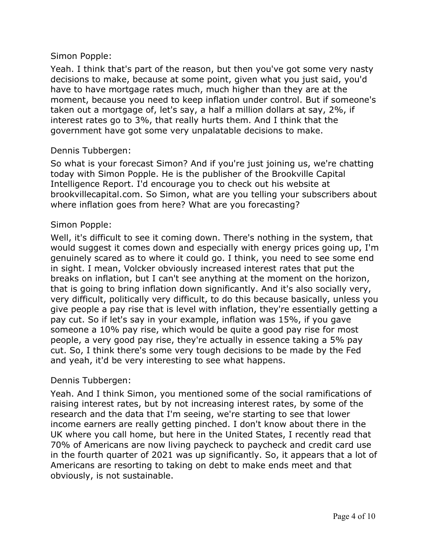Yeah. I think that's part of the reason, but then you've got some very nasty decisions to make, because at some point, given what you just said, you'd have to have mortgage rates much, much higher than they are at the moment, because you need to keep inflation under control. But if someone's taken out a mortgage of, let's say, a half a million dollars at say, 2%, if interest rates go to 3%, that really hurts them. And I think that the government have got some very unpalatable decisions to make.

#### Dennis Tubbergen:

So what is your forecast Simon? And if you're just joining us, we're chatting today with Simon Popple. He is the publisher of the Brookville Capital Intelligence Report. I'd encourage you to check out his website at brookvillecapital.com. So Simon, what are you telling your subscribers about where inflation goes from here? What are you forecasting?

#### Simon Popple:

Well, it's difficult to see it coming down. There's nothing in the system, that would suggest it comes down and especially with energy prices going up, I'm genuinely scared as to where it could go. I think, you need to see some end in sight. I mean, Volcker obviously increased interest rates that put the breaks on inflation, but I can't see anything at the moment on the horizon, that is going to bring inflation down significantly. And it's also socially very, very difficult, politically very difficult, to do this because basically, unless you give people a pay rise that is level with inflation, they're essentially getting a pay cut. So if let's say in your example, inflation was 15%, if you gave someone a 10% pay rise, which would be quite a good pay rise for most people, a very good pay rise, they're actually in essence taking a 5% pay cut. So, I think there's some very tough decisions to be made by the Fed and yeah, it'd be very interesting to see what happens.

#### Dennis Tubbergen:

Yeah. And I think Simon, you mentioned some of the social ramifications of raising interest rates, but by not increasing interest rates, by some of the research and the data that I'm seeing, we're starting to see that lower income earners are really getting pinched. I don't know about there in the UK where you call home, but here in the United States, I recently read that 70% of Americans are now living paycheck to paycheck and credit card use in the fourth quarter of 2021 was up significantly. So, it appears that a lot of Americans are resorting to taking on debt to make ends meet and that obviously, is not sustainable.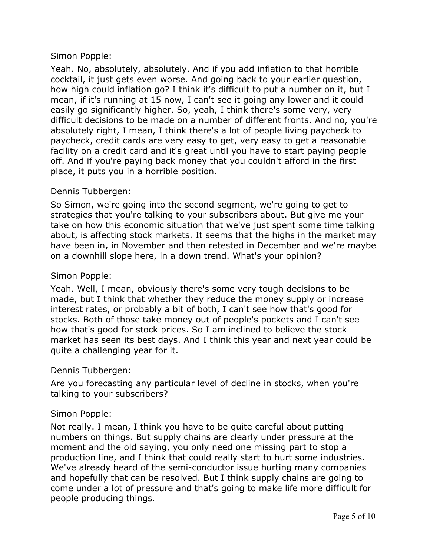Yeah. No, absolutely, absolutely. And if you add inflation to that horrible cocktail, it just gets even worse. And going back to your earlier question, how high could inflation go? I think it's difficult to put a number on it, but I mean, if it's running at 15 now, I can't see it going any lower and it could easily go significantly higher. So, yeah, I think there's some very, very difficult decisions to be made on a number of different fronts. And no, you're absolutely right, I mean, I think there's a lot of people living paycheck to paycheck, credit cards are very easy to get, very easy to get a reasonable facility on a credit card and it's great until you have to start paying people off. And if you're paying back money that you couldn't afford in the first place, it puts you in a horrible position.

# Dennis Tubbergen:

So Simon, we're going into the second segment, we're going to get to strategies that you're talking to your subscribers about. But give me your take on how this economic situation that we've just spent some time talking about, is affecting stock markets. It seems that the highs in the market may have been in, in November and then retested in December and we're maybe on a downhill slope here, in a down trend. What's your opinion?

## Simon Popple:

Yeah. Well, I mean, obviously there's some very tough decisions to be made, but I think that whether they reduce the money supply or increase interest rates, or probably a bit of both, I can't see how that's good for stocks. Both of those take money out of people's pockets and I can't see how that's good for stock prices. So I am inclined to believe the stock market has seen its best days. And I think this year and next year could be quite a challenging year for it.

### Dennis Tubbergen:

Are you forecasting any particular level of decline in stocks, when you're talking to your subscribers?

### Simon Popple:

Not really. I mean, I think you have to be quite careful about putting numbers on things. But supply chains are clearly under pressure at the moment and the old saying, you only need one missing part to stop a production line, and I think that could really start to hurt some industries. We've already heard of the semi-conductor issue hurting many companies and hopefully that can be resolved. But I think supply chains are going to come under a lot of pressure and that's going to make life more difficult for people producing things.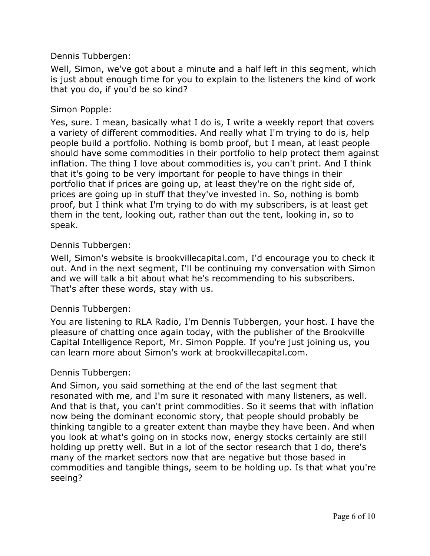#### Dennis Tubbergen:

Well, Simon, we've got about a minute and a half left in this segment, which is just about enough time for you to explain to the listeners the kind of work that you do, if you'd be so kind?

#### Simon Popple:

Yes, sure. I mean, basically what I do is, I write a weekly report that covers a variety of different commodities. And really what I'm trying to do is, help people build a portfolio. Nothing is bomb proof, but I mean, at least people should have some commodities in their portfolio to help protect them against inflation. The thing I love about commodities is, you can't print. And I think that it's going to be very important for people to have things in their portfolio that if prices are going up, at least they're on the right side of, prices are going up in stuff that they've invested in. So, nothing is bomb proof, but I think what I'm trying to do with my subscribers, is at least get them in the tent, looking out, rather than out the tent, looking in, so to speak.

#### Dennis Tubbergen:

Well, Simon's website is brookvillecapital.com, I'd encourage you to check it out. And in the next segment, I'll be continuing my conversation with Simon and we will talk a bit about what he's recommending to his subscribers. That's after these words, stay with us.

#### Dennis Tubbergen:

You are listening to RLA Radio, I'm Dennis Tubbergen, your host. I have the pleasure of chatting once again today, with the publisher of the Brookville Capital Intelligence Report, Mr. Simon Popple. If you're just joining us, you can learn more about Simon's work at brookvillecapital.com.

#### Dennis Tubbergen:

And Simon, you said something at the end of the last segment that resonated with me, and I'm sure it resonated with many listeners, as well. And that is that, you can't print commodities. So it seems that with inflation now being the dominant economic story, that people should probably be thinking tangible to a greater extent than maybe they have been. And when you look at what's going on in stocks now, energy stocks certainly are still holding up pretty well. But in a lot of the sector research that I do, there's many of the market sectors now that are negative but those based in commodities and tangible things, seem to be holding up. Is that what you're seeing?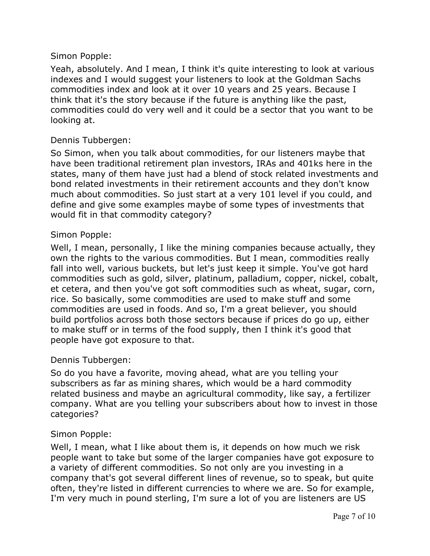Yeah, absolutely. And I mean, I think it's quite interesting to look at various indexes and I would suggest your listeners to look at the Goldman Sachs commodities index and look at it over 10 years and 25 years. Because I think that it's the story because if the future is anything like the past, commodities could do very well and it could be a sector that you want to be looking at.

#### Dennis Tubbergen:

So Simon, when you talk about commodities, for our listeners maybe that have been traditional retirement plan investors, IRAs and 401ks here in the states, many of them have just had a blend of stock related investments and bond related investments in their retirement accounts and they don't know much about commodities. So just start at a very 101 level if you could, and define and give some examples maybe of some types of investments that would fit in that commodity category?

#### Simon Popple:

Well, I mean, personally, I like the mining companies because actually, they own the rights to the various commodities. But I mean, commodities really fall into well, various buckets, but let's just keep it simple. You've got hard commodities such as gold, silver, platinum, palladium, copper, nickel, cobalt, et cetera, and then you've got soft commodities such as wheat, sugar, corn, rice. So basically, some commodities are used to make stuff and some commodities are used in foods. And so, I'm a great believer, you should build portfolios across both those sectors because if prices do go up, either to make stuff or in terms of the food supply, then I think it's good that people have got exposure to that.

#### Dennis Tubbergen:

So do you have a favorite, moving ahead, what are you telling your subscribers as far as mining shares, which would be a hard commodity related business and maybe an agricultural commodity, like say, a fertilizer company. What are you telling your subscribers about how to invest in those categories?

### Simon Popple:

Well, I mean, what I like about them is, it depends on how much we risk people want to take but some of the larger companies have got exposure to a variety of different commodities. So not only are you investing in a company that's got several different lines of revenue, so to speak, but quite often, they're listed in different currencies to where we are. So for example, I'm very much in pound sterling, I'm sure a lot of you are listeners are US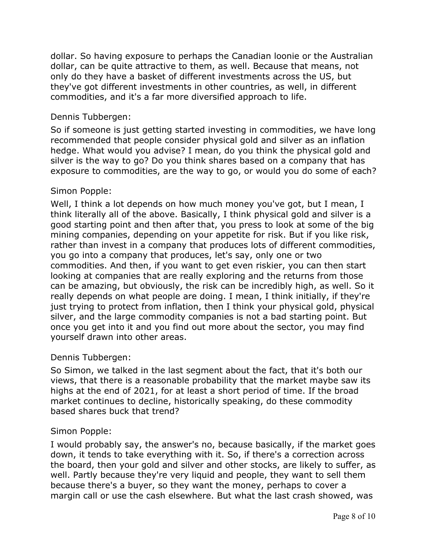dollar. So having exposure to perhaps the Canadian loonie or the Australian dollar, can be quite attractive to them, as well. Because that means, not only do they have a basket of different investments across the US, but they've got different investments in other countries, as well, in different commodities, and it's a far more diversified approach to life.

## Dennis Tubbergen:

So if someone is just getting started investing in commodities, we have long recommended that people consider physical gold and silver as an inflation hedge. What would you advise? I mean, do you think the physical gold and silver is the way to go? Do you think shares based on a company that has exposure to commodities, are the way to go, or would you do some of each?

# Simon Popple:

Well, I think a lot depends on how much money you've got, but I mean, I think literally all of the above. Basically, I think physical gold and silver is a good starting point and then after that, you press to look at some of the big mining companies, depending on your appetite for risk. But if you like risk, rather than invest in a company that produces lots of different commodities, you go into a company that produces, let's say, only one or two commodities. And then, if you want to get even riskier, you can then start looking at companies that are really exploring and the returns from those can be amazing, but obviously, the risk can be incredibly high, as well. So it really depends on what people are doing. I mean, I think initially, if they're just trying to protect from inflation, then I think your physical gold, physical silver, and the large commodity companies is not a bad starting point. But once you get into it and you find out more about the sector, you may find yourself drawn into other areas.

### Dennis Tubbergen:

So Simon, we talked in the last segment about the fact, that it's both our views, that there is a reasonable probability that the market maybe saw its highs at the end of 2021, for at least a short period of time. If the broad market continues to decline, historically speaking, do these commodity based shares buck that trend?

# Simon Popple:

I would probably say, the answer's no, because basically, if the market goes down, it tends to take everything with it. So, if there's a correction across the board, then your gold and silver and other stocks, are likely to suffer, as well. Partly because they're very liquid and people, they want to sell them because there's a buyer, so they want the money, perhaps to cover a margin call or use the cash elsewhere. But what the last crash showed, was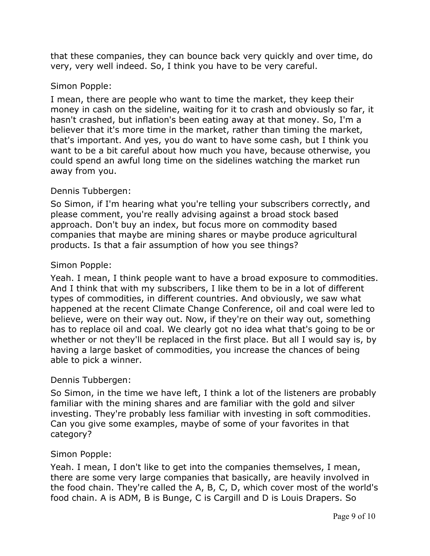that these companies, they can bounce back very quickly and over time, do very, very well indeed. So, I think you have to be very careful.

### Simon Popple:

I mean, there are people who want to time the market, they keep their money in cash on the sideline, waiting for it to crash and obviously so far, it hasn't crashed, but inflation's been eating away at that money. So, I'm a believer that it's more time in the market, rather than timing the market, that's important. And yes, you do want to have some cash, but I think you want to be a bit careful about how much you have, because otherwise, you could spend an awful long time on the sidelines watching the market run away from you.

# Dennis Tubbergen:

So Simon, if I'm hearing what you're telling your subscribers correctly, and please comment, you're really advising against a broad stock based approach. Don't buy an index, but focus more on commodity based companies that maybe are mining shares or maybe produce agricultural products. Is that a fair assumption of how you see things?

### Simon Popple:

Yeah. I mean, I think people want to have a broad exposure to commodities. And I think that with my subscribers, I like them to be in a lot of different types of commodities, in different countries. And obviously, we saw what happened at the recent Climate Change Conference, oil and coal were led to believe, were on their way out. Now, if they're on their way out, something has to replace oil and coal. We clearly got no idea what that's going to be or whether or not they'll be replaced in the first place. But all I would say is, by having a large basket of commodities, you increase the chances of being able to pick a winner.

### Dennis Tubbergen:

So Simon, in the time we have left, I think a lot of the listeners are probably familiar with the mining shares and are familiar with the gold and silver investing. They're probably less familiar with investing in soft commodities. Can you give some examples, maybe of some of your favorites in that category?

### Simon Popple:

Yeah. I mean, I don't like to get into the companies themselves, I mean, there are some very large companies that basically, are heavily involved in the food chain. They're called the A, B, C, D, which cover most of the world's food chain. A is ADM, B is Bunge, C is Cargill and D is Louis Drapers. So